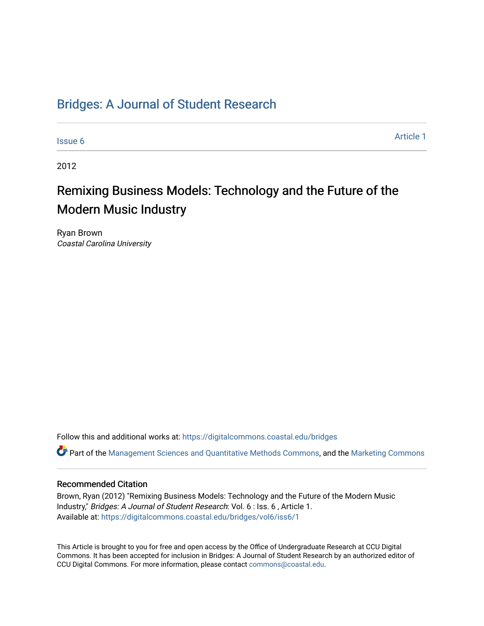## [Bridges: A Journal of Student Research](https://digitalcommons.coastal.edu/bridges)

[Issue 6](https://digitalcommons.coastal.edu/bridges/vol6/iss6) [Article 1](https://digitalcommons.coastal.edu/bridges/vol6/iss6/1) Article 1 Article 1 Article 1 Article 1 Article 1 Article 1 Article 1

2012

# Remixing Business Models: Technology and the Future of the Modern Music Industry

Ryan Brown Coastal Carolina University

Follow this and additional works at: [https://digitalcommons.coastal.edu/bridges](https://digitalcommons.coastal.edu/bridges?utm_source=digitalcommons.coastal.edu%2Fbridges%2Fvol6%2Fiss6%2F1&utm_medium=PDF&utm_campaign=PDFCoverPages) 

Part of the [Management Sciences and Quantitative Methods Commons](http://network.bepress.com/hgg/discipline/637?utm_source=digitalcommons.coastal.edu%2Fbridges%2Fvol6%2Fiss6%2F1&utm_medium=PDF&utm_campaign=PDFCoverPages), and the [Marketing Commons](http://network.bepress.com/hgg/discipline/638?utm_source=digitalcommons.coastal.edu%2Fbridges%2Fvol6%2Fiss6%2F1&utm_medium=PDF&utm_campaign=PDFCoverPages)

#### Recommended Citation

Brown, Ryan (2012) "Remixing Business Models: Technology and the Future of the Modern Music Industry," Bridges: A Journal of Student Research: Vol. 6 : Iss. 6 , Article 1. Available at: [https://digitalcommons.coastal.edu/bridges/vol6/iss6/1](https://digitalcommons.coastal.edu/bridges/vol6/iss6/1?utm_source=digitalcommons.coastal.edu%2Fbridges%2Fvol6%2Fiss6%2F1&utm_medium=PDF&utm_campaign=PDFCoverPages)

This Article is brought to you for free and open access by the Office of Undergraduate Research at CCU Digital Commons. It has been accepted for inclusion in Bridges: A Journal of Student Research by an authorized editor of CCU Digital Commons. For more information, please contact [commons@coastal.edu](mailto:commons@coastal.edu).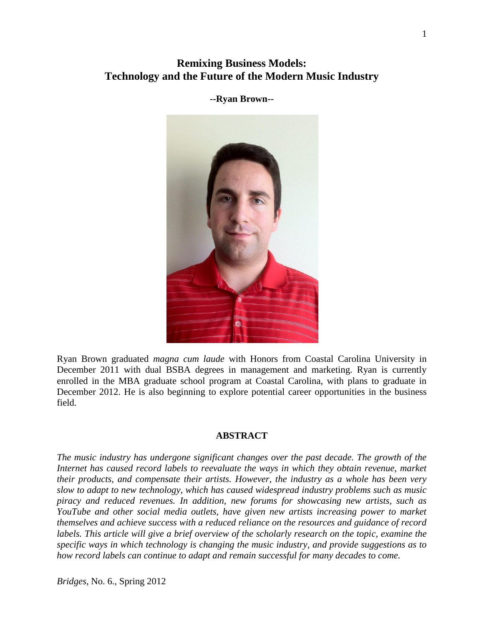## **Remixing Business Models: Technology and the Future of the Modern Music Industry**

**--Ryan Brown--**



Ryan Brown graduated *magna cum laude* with Honors from Coastal Carolina University in December 2011 with dual BSBA degrees in management and marketing. Ryan is currently enrolled in the MBA graduate school program at Coastal Carolina, with plans to graduate in December 2012. He is also beginning to explore potential career opportunities in the business field.

#### **ABSTRACT**

*The music industry has undergone significant changes over the past decade. The growth of the Internet has caused record labels to reevaluate the ways in which they obtain revenue, market their products, and compensate their artists. However, the industry as a whole has been very slow to adapt to new technology, which has caused widespread industry problems such as music piracy and reduced revenues. In addition, new forums for showcasing new artists, such as YouTube and other social media outlets, have given new artists increasing power to market themselves and achieve success with a reduced reliance on the resources and guidance of record labels. This article will give a brief overview of the scholarly research on the topic, examine the specific ways in which technology is changing the music industry, and provide suggestions as to how record labels can continue to adapt and remain successful for many decades to come.*

*Bridges*, No. 6., Spring 2012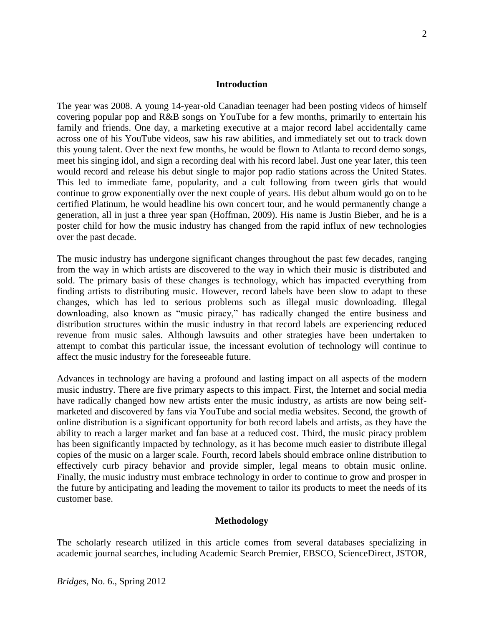#### **Introduction**

The year was 2008. A young 14-year-old Canadian teenager had been posting videos of himself covering popular pop and R&B songs on YouTube for a few months, primarily to entertain his family and friends. One day, a marketing executive at a major record label accidentally came across one of his YouTube videos, saw his raw abilities, and immediately set out to track down this young talent. Over the next few months, he would be flown to Atlanta to record demo songs, meet his singing idol, and sign a recording deal with his record label. Just one year later, this teen would record and release his debut single to major pop radio stations across the United States. This led to immediate fame, popularity, and a cult following from tween girls that would continue to grow exponentially over the next couple of years. His debut album would go on to be certified Platinum, he would headline his own concert tour, and he would permanently change a generation, all in just a three year span (Hoffman, 2009). His name is Justin Bieber, and he is a poster child for how the music industry has changed from the rapid influx of new technologies over the past decade.

The music industry has undergone significant changes throughout the past few decades, ranging from the way in which artists are discovered to the way in which their music is distributed and sold. The primary basis of these changes is technology, which has impacted everything from finding artists to distributing music. However, record labels have been slow to adapt to these changes, which has led to serious problems such as illegal music downloading. Illegal downloading, also known as "music piracy," has radically changed the entire business and distribution structures within the music industry in that record labels are experiencing reduced revenue from music sales. Although lawsuits and other strategies have been undertaken to attempt to combat this particular issue, the incessant evolution of technology will continue to affect the music industry for the foreseeable future.

Advances in technology are having a profound and lasting impact on all aspects of the modern music industry. There are five primary aspects to this impact. First, the Internet and social media have radically changed how new artists enter the music industry, as artists are now being selfmarketed and discovered by fans via YouTube and social media websites. Second, the growth of online distribution is a significant opportunity for both record labels and artists, as they have the ability to reach a larger market and fan base at a reduced cost. Third, the music piracy problem has been significantly impacted by technology, as it has become much easier to distribute illegal copies of the music on a larger scale. Fourth, record labels should embrace online distribution to effectively curb piracy behavior and provide simpler, legal means to obtain music online. Finally, the music industry must embrace technology in order to continue to grow and prosper in the future by anticipating and leading the movement to tailor its products to meet the needs of its customer base.

#### **Methodology**

The scholarly research utilized in this article comes from several databases specializing in academic journal searches, including Academic Search Premier, EBSCO, ScienceDirect, JSTOR,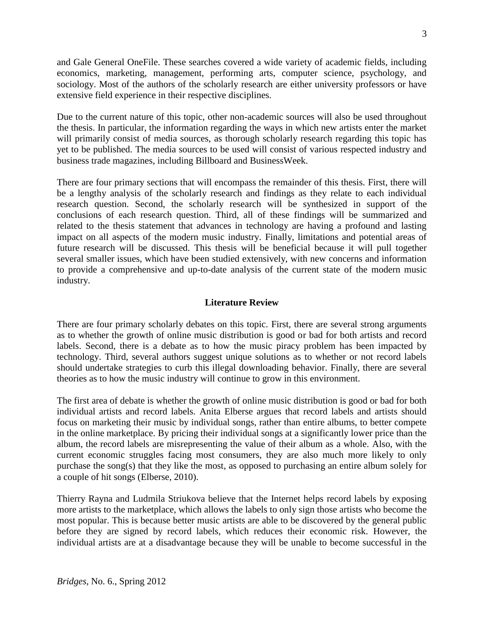and Gale General OneFile. These searches covered a wide variety of academic fields, including economics, marketing, management, performing arts, computer science, psychology, and sociology. Most of the authors of the scholarly research are either university professors or have extensive field experience in their respective disciplines.

Due to the current nature of this topic, other non-academic sources will also be used throughout the thesis. In particular, the information regarding the ways in which new artists enter the market will primarily consist of media sources, as thorough scholarly research regarding this topic has yet to be published. The media sources to be used will consist of various respected industry and business trade magazines, including Billboard and BusinessWeek.

There are four primary sections that will encompass the remainder of this thesis. First, there will be a lengthy analysis of the scholarly research and findings as they relate to each individual research question. Second, the scholarly research will be synthesized in support of the conclusions of each research question. Third, all of these findings will be summarized and related to the thesis statement that advances in technology are having a profound and lasting impact on all aspects of the modern music industry. Finally, limitations and potential areas of future research will be discussed. This thesis will be beneficial because it will pull together several smaller issues, which have been studied extensively, with new concerns and information to provide a comprehensive and up-to-date analysis of the current state of the modern music industry.

#### **Literature Review**

There are four primary scholarly debates on this topic. First, there are several strong arguments as to whether the growth of online music distribution is good or bad for both artists and record labels. Second, there is a debate as to how the music piracy problem has been impacted by technology. Third, several authors suggest unique solutions as to whether or not record labels should undertake strategies to curb this illegal downloading behavior. Finally, there are several theories as to how the music industry will continue to grow in this environment.

The first area of debate is whether the growth of online music distribution is good or bad for both individual artists and record labels. Anita Elberse argues that record labels and artists should focus on marketing their music by individual songs, rather than entire albums, to better compete in the online marketplace. By pricing their individual songs at a significantly lower price than the album, the record labels are misrepresenting the value of their album as a whole. Also, with the current economic struggles facing most consumers, they are also much more likely to only purchase the song(s) that they like the most, as opposed to purchasing an entire album solely for a couple of hit songs (Elberse, 2010).

Thierry Rayna and Ludmila Striukova believe that the Internet helps record labels by exposing more artists to the marketplace, which allows the labels to only sign those artists who become the most popular. This is because better music artists are able to be discovered by the general public before they are signed by record labels, which reduces their economic risk. However, the individual artists are at a disadvantage because they will be unable to become successful in the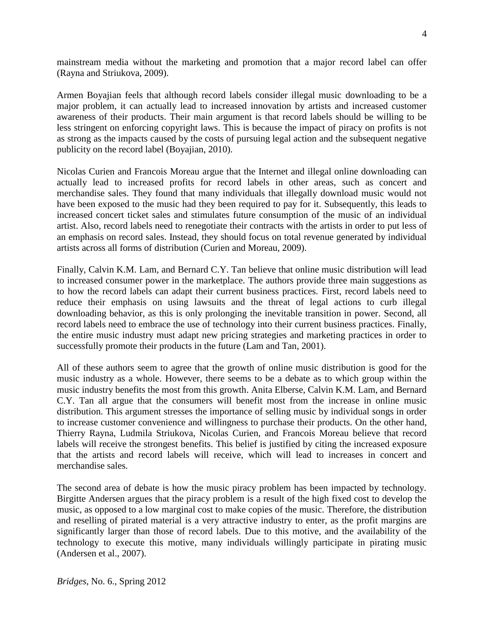mainstream media without the marketing and promotion that a major record label can offer (Rayna and Striukova, 2009).

Armen Boyajian feels that although record labels consider illegal music downloading to be a major problem, it can actually lead to increased innovation by artists and increased customer awareness of their products. Their main argument is that record labels should be willing to be less stringent on enforcing copyright laws. This is because the impact of piracy on profits is not as strong as the impacts caused by the costs of pursuing legal action and the subsequent negative publicity on the record label (Boyajian, 2010).

Nicolas Curien and Francois Moreau argue that the Internet and illegal online downloading can actually lead to increased profits for record labels in other areas, such as concert and merchandise sales. They found that many individuals that illegally download music would not have been exposed to the music had they been required to pay for it. Subsequently, this leads to increased concert ticket sales and stimulates future consumption of the music of an individual artist. Also, record labels need to renegotiate their contracts with the artists in order to put less of an emphasis on record sales. Instead, they should focus on total revenue generated by individual artists across all forms of distribution (Curien and Moreau, 2009).

Finally, Calvin K.M. Lam, and Bernard C.Y. Tan believe that online music distribution will lead to increased consumer power in the marketplace. The authors provide three main suggestions as to how the record labels can adapt their current business practices. First, record labels need to reduce their emphasis on using lawsuits and the threat of legal actions to curb illegal downloading behavior, as this is only prolonging the inevitable transition in power. Second, all record labels need to embrace the use of technology into their current business practices. Finally, the entire music industry must adapt new pricing strategies and marketing practices in order to successfully promote their products in the future (Lam and Tan, 2001).

All of these authors seem to agree that the growth of online music distribution is good for the music industry as a whole. However, there seems to be a debate as to which group within the music industry benefits the most from this growth. Anita Elberse, Calvin K.M. Lam, and Bernard C.Y. Tan all argue that the consumers will benefit most from the increase in online music distribution. This argument stresses the importance of selling music by individual songs in order to increase customer convenience and willingness to purchase their products. On the other hand, Thierry Rayna, Ludmila Striukova, Nicolas Curien, and Francois Moreau believe that record labels will receive the strongest benefits. This belief is justified by citing the increased exposure that the artists and record labels will receive, which will lead to increases in concert and merchandise sales.

The second area of debate is how the music piracy problem has been impacted by technology. Birgitte Andersen argues that the piracy problem is a result of the high fixed cost to develop the music, as opposed to a low marginal cost to make copies of the music. Therefore, the distribution and reselling of pirated material is a very attractive industry to enter, as the profit margins are significantly larger than those of record labels. Due to this motive, and the availability of the technology to execute this motive, many individuals willingly participate in pirating music (Andersen et al., 2007).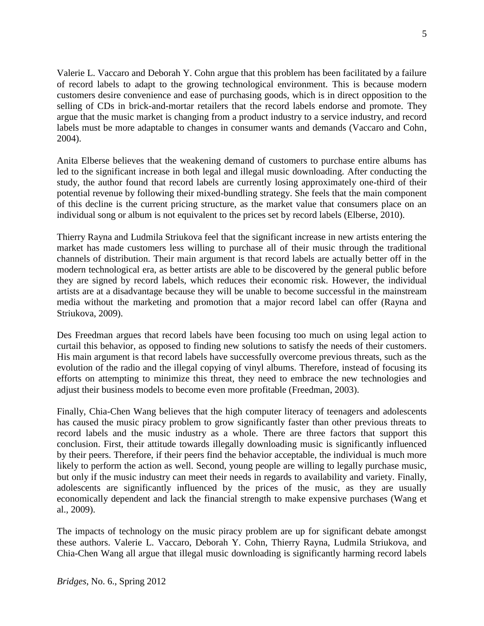Valerie L. Vaccaro and Deborah Y. Cohn argue that this problem has been facilitated by a failure of record labels to adapt to the growing technological environment. This is because modern customers desire convenience and ease of purchasing goods, which is in direct opposition to the selling of CDs in brick-and-mortar retailers that the record labels endorse and promote. They argue that the music market is changing from a product industry to a service industry, and record labels must be more adaptable to changes in consumer wants and demands (Vaccaro and Cohn, 2004).

Anita Elberse believes that the weakening demand of customers to purchase entire albums has led to the significant increase in both legal and illegal music downloading. After conducting the study, the author found that record labels are currently losing approximately one-third of their potential revenue by following their mixed-bundling strategy. She feels that the main component of this decline is the current pricing structure, as the market value that consumers place on an individual song or album is not equivalent to the prices set by record labels (Elberse, 2010).

Thierry Rayna and Ludmila Striukova feel that the significant increase in new artists entering the market has made customers less willing to purchase all of their music through the traditional channels of distribution. Their main argument is that record labels are actually better off in the modern technological era, as better artists are able to be discovered by the general public before they are signed by record labels, which reduces their economic risk. However, the individual artists are at a disadvantage because they will be unable to become successful in the mainstream media without the marketing and promotion that a major record label can offer (Rayna and Striukova, 2009).

Des Freedman argues that record labels have been focusing too much on using legal action to curtail this behavior, as opposed to finding new solutions to satisfy the needs of their customers. His main argument is that record labels have successfully overcome previous threats, such as the evolution of the radio and the illegal copying of vinyl albums. Therefore, instead of focusing its efforts on attempting to minimize this threat, they need to embrace the new technologies and adjust their business models to become even more profitable (Freedman, 2003).

Finally, Chia-Chen Wang believes that the high computer literacy of teenagers and adolescents has caused the music piracy problem to grow significantly faster than other previous threats to record labels and the music industry as a whole. There are three factors that support this conclusion. First, their attitude towards illegally downloading music is significantly influenced by their peers. Therefore, if their peers find the behavior acceptable, the individual is much more likely to perform the action as well. Second, young people are willing to legally purchase music, but only if the music industry can meet their needs in regards to availability and variety. Finally, adolescents are significantly influenced by the prices of the music, as they are usually economically dependent and lack the financial strength to make expensive purchases (Wang et al., 2009).

The impacts of technology on the music piracy problem are up for significant debate amongst these authors. Valerie L. Vaccaro, Deborah Y. Cohn, Thierry Rayna, Ludmila Striukova, and Chia-Chen Wang all argue that illegal music downloading is significantly harming record labels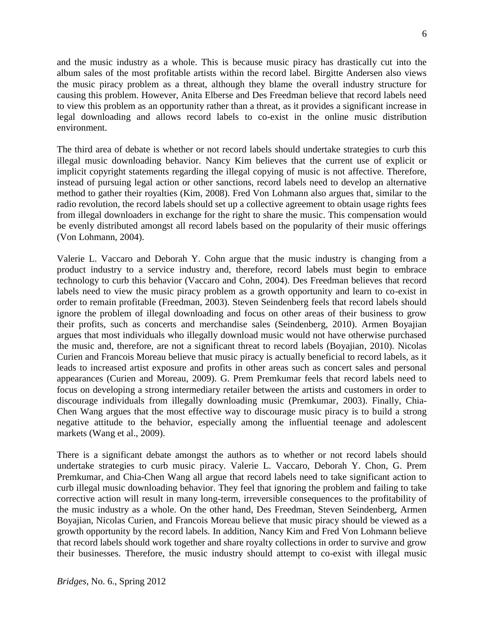and the music industry as a whole. This is because music piracy has drastically cut into the album sales of the most profitable artists within the record label. Birgitte Andersen also views the music piracy problem as a threat, although they blame the overall industry structure for causing this problem. However, Anita Elberse and Des Freedman believe that record labels need to view this problem as an opportunity rather than a threat, as it provides a significant increase in legal downloading and allows record labels to co-exist in the online music distribution environment.

The third area of debate is whether or not record labels should undertake strategies to curb this illegal music downloading behavior. Nancy Kim believes that the current use of explicit or implicit copyright statements regarding the illegal copying of music is not affective. Therefore, instead of pursuing legal action or other sanctions, record labels need to develop an alternative method to gather their royalties (Kim, 2008). Fred Von Lohmann also argues that, similar to the radio revolution, the record labels should set up a collective agreement to obtain usage rights fees from illegal downloaders in exchange for the right to share the music. This compensation would be evenly distributed amongst all record labels based on the popularity of their music offerings (Von Lohmann, 2004).

Valerie L. Vaccaro and Deborah Y. Cohn argue that the music industry is changing from a product industry to a service industry and, therefore, record labels must begin to embrace technology to curb this behavior (Vaccaro and Cohn, 2004). Des Freedman believes that record labels need to view the music piracy problem as a growth opportunity and learn to co-exist in order to remain profitable (Freedman, 2003). Steven Seindenberg feels that record labels should ignore the problem of illegal downloading and focus on other areas of their business to grow their profits, such as concerts and merchandise sales (Seindenberg, 2010). Armen Boyajian argues that most individuals who illegally download music would not have otherwise purchased the music and, therefore, are not a significant threat to record labels (Boyajian, 2010). Nicolas Curien and Francois Moreau believe that music piracy is actually beneficial to record labels, as it leads to increased artist exposure and profits in other areas such as concert sales and personal appearances (Curien and Moreau, 2009). G. Prem Premkumar feels that record labels need to focus on developing a strong intermediary retailer between the artists and customers in order to discourage individuals from illegally downloading music (Premkumar, 2003). Finally, Chia-Chen Wang argues that the most effective way to discourage music piracy is to build a strong negative attitude to the behavior, especially among the influential teenage and adolescent markets (Wang et al., 2009).

There is a significant debate amongst the authors as to whether or not record labels should undertake strategies to curb music piracy. Valerie L. Vaccaro, Deborah Y. Chon, G. Prem Premkumar, and Chia-Chen Wang all argue that record labels need to take significant action to curb illegal music downloading behavior. They feel that ignoring the problem and failing to take corrective action will result in many long-term, irreversible consequences to the profitability of the music industry as a whole. On the other hand, Des Freedman, Steven Seindenberg, Armen Boyajian, Nicolas Curien, and Francois Moreau believe that music piracy should be viewed as a growth opportunity by the record labels. In addition, Nancy Kim and Fred Von Lohmann believe that record labels should work together and share royalty collections in order to survive and grow their businesses. Therefore, the music industry should attempt to co-exist with illegal music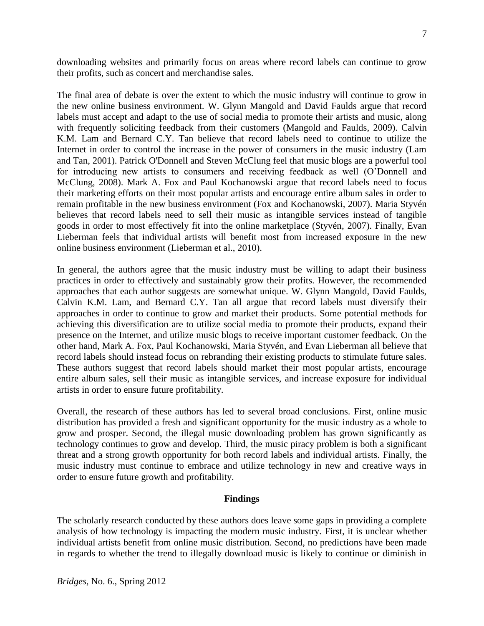downloading websites and primarily focus on areas where record labels can continue to grow their profits, such as concert and merchandise sales.

The final area of debate is over the extent to which the music industry will continue to grow in the new online business environment. W. Glynn Mangold and David Faulds argue that record labels must accept and adapt to the use of social media to promote their artists and music, along with frequently soliciting feedback from their customers (Mangold and Faulds, 2009). Calvin K.M. Lam and Bernard C.Y. Tan believe that record labels need to continue to utilize the Internet in order to control the increase in the power of consumers in the music industry (Lam and Tan, 2001). Patrick O'Donnell and Steven McClung feel that music blogs are a powerful tool for introducing new artists to consumers and receiving feedback as well (O'Donnell and McClung, 2008). Mark A. Fox and Paul Kochanowski argue that record labels need to focus their marketing efforts on their most popular artists and encourage entire album sales in order to remain profitable in the new business environment (Fox and Kochanowski, 2007). Maria Styvén believes that record labels need to sell their music as intangible services instead of tangible goods in order to most effectively fit into the online marketplace (Styvén, 2007). Finally, Evan Lieberman feels that individual artists will benefit most from increased exposure in the new online business environment (Lieberman et al., 2010).

In general, the authors agree that the music industry must be willing to adapt their business practices in order to effectively and sustainably grow their profits. However, the recommended approaches that each author suggests are somewhat unique. W. Glynn Mangold, David Faulds, Calvin K.M. Lam, and Bernard C.Y. Tan all argue that record labels must diversify their approaches in order to continue to grow and market their products. Some potential methods for achieving this diversification are to utilize social media to promote their products, expand their presence on the Internet, and utilize music blogs to receive important customer feedback. On the other hand, Mark A. Fox, Paul Kochanowski, Maria Styvén, and Evan Lieberman all believe that record labels should instead focus on rebranding their existing products to stimulate future sales. These authors suggest that record labels should market their most popular artists, encourage entire album sales, sell their music as intangible services, and increase exposure for individual artists in order to ensure future profitability.

Overall, the research of these authors has led to several broad conclusions. First, online music distribution has provided a fresh and significant opportunity for the music industry as a whole to grow and prosper. Second, the illegal music downloading problem has grown significantly as technology continues to grow and develop. Third, the music piracy problem is both a significant threat and a strong growth opportunity for both record labels and individual artists. Finally, the music industry must continue to embrace and utilize technology in new and creative ways in order to ensure future growth and profitability.

#### **Findings**

The scholarly research conducted by these authors does leave some gaps in providing a complete analysis of how technology is impacting the modern music industry. First, it is unclear whether individual artists benefit from online music distribution. Second, no predictions have been made in regards to whether the trend to illegally download music is likely to continue or diminish in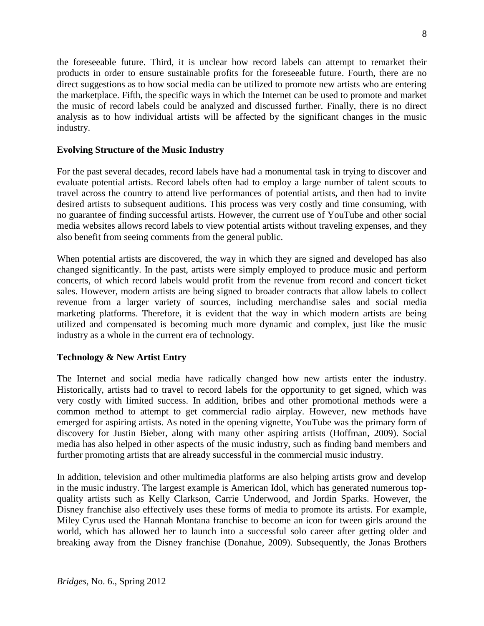the foreseeable future. Third, it is unclear how record labels can attempt to remarket their products in order to ensure sustainable profits for the foreseeable future. Fourth, there are no direct suggestions as to how social media can be utilized to promote new artists who are entering the marketplace. Fifth, the specific ways in which the Internet can be used to promote and market the music of record labels could be analyzed and discussed further. Finally, there is no direct analysis as to how individual artists will be affected by the significant changes in the music industry.

## **Evolving Structure of the Music Industry**

For the past several decades, record labels have had a monumental task in trying to discover and evaluate potential artists. Record labels often had to employ a large number of talent scouts to travel across the country to attend live performances of potential artists, and then had to invite desired artists to subsequent auditions. This process was very costly and time consuming, with no guarantee of finding successful artists. However, the current use of YouTube and other social media websites allows record labels to view potential artists without traveling expenses, and they also benefit from seeing comments from the general public.

When potential artists are discovered, the way in which they are signed and developed has also changed significantly. In the past, artists were simply employed to produce music and perform concerts, of which record labels would profit from the revenue from record and concert ticket sales. However, modern artists are being signed to broader contracts that allow labels to collect revenue from a larger variety of sources, including merchandise sales and social media marketing platforms. Therefore, it is evident that the way in which modern artists are being utilized and compensated is becoming much more dynamic and complex, just like the music industry as a whole in the current era of technology.

## **Technology & New Artist Entry**

The Internet and social media have radically changed how new artists enter the industry. Historically, artists had to travel to record labels for the opportunity to get signed, which was very costly with limited success. In addition, bribes and other promotional methods were a common method to attempt to get commercial radio airplay. However, new methods have emerged for aspiring artists. As noted in the opening vignette, YouTube was the primary form of discovery for Justin Bieber, along with many other aspiring artists (Hoffman, 2009). Social media has also helped in other aspects of the music industry, such as finding band members and further promoting artists that are already successful in the commercial music industry.

In addition, television and other multimedia platforms are also helping artists grow and develop in the music industry. The largest example is American Idol, which has generated numerous topquality artists such as Kelly Clarkson, Carrie Underwood, and Jordin Sparks. However, the Disney franchise also effectively uses these forms of media to promote its artists. For example, Miley Cyrus used the Hannah Montana franchise to become an icon for tween girls around the world, which has allowed her to launch into a successful solo career after getting older and breaking away from the Disney franchise (Donahue, 2009). Subsequently, the Jonas Brothers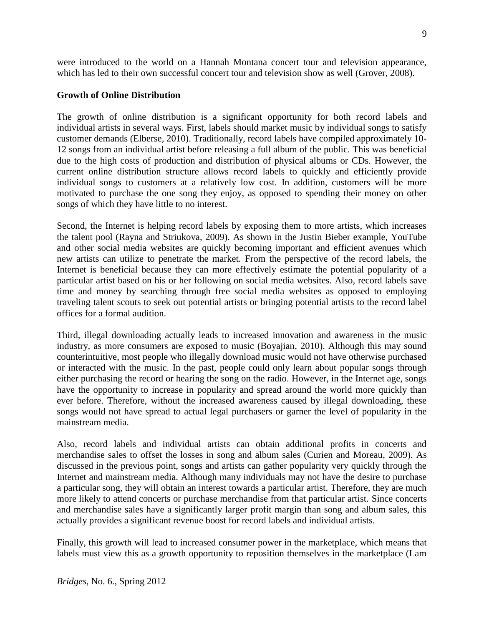customer demands (Elberse, 2010). Traditionally, record labels have compiled approximately 10- 12 songs from an individual artist before releasing a full album of the public. This was beneficial

due to the high costs of production and distribution of physical albums or CDs. However, the current online distribution structure allows record labels to quickly and efficiently provide individual songs to customers at a relatively low cost. In addition, customers will be more motivated to purchase the one song they enjoy, as opposed to spending their money on other songs of which they have little to no interest.

were introduced to the world on a Hannah Montana concert tour and television appearance, which has led to their own successful concert tour and television show as well (Grover, 2008).

The growth of online distribution is a significant opportunity for both record labels and individual artists in several ways. First, labels should market music by individual songs to satisfy

Second, the Internet is helping record labels by exposing them to more artists, which increases the talent pool (Rayna and Striukova, 2009). As shown in the Justin Bieber example, YouTube and other social media websites are quickly becoming important and efficient avenues which new artists can utilize to penetrate the market. From the perspective of the record labels, the Internet is beneficial because they can more effectively estimate the potential popularity of a particular artist based on his or her following on social media websites. Also, record labels save time and money by searching through free social media websites as opposed to employing traveling talent scouts to seek out potential artists or bringing potential artists to the record label offices for a formal audition.

Third, illegal downloading actually leads to increased innovation and awareness in the music industry, as more consumers are exposed to music (Boyajian, 2010). Although this may sound counterintuitive, most people who illegally download music would not have otherwise purchased or interacted with the music. In the past, people could only learn about popular songs through either purchasing the record or hearing the song on the radio. However, in the Internet age, songs have the opportunity to increase in popularity and spread around the world more quickly than ever before. Therefore, without the increased awareness caused by illegal downloading, these songs would not have spread to actual legal purchasers or garner the level of popularity in the mainstream media.

Also, record labels and individual artists can obtain additional profits in concerts and merchandise sales to offset the losses in song and album sales (Curien and Moreau, 2009). As discussed in the previous point, songs and artists can gather popularity very quickly through the Internet and mainstream media. Although many individuals may not have the desire to purchase a particular song, they will obtain an interest towards a particular artist. Therefore, they are much more likely to attend concerts or purchase merchandise from that particular artist. Since concerts and merchandise sales have a significantly larger profit margin than song and album sales, this actually provides a significant revenue boost for record labels and individual artists.

Finally, this growth will lead to increased consumer power in the marketplace, which means that labels must view this as a growth opportunity to reposition themselves in the marketplace (Lam

**Growth of Online Distribution**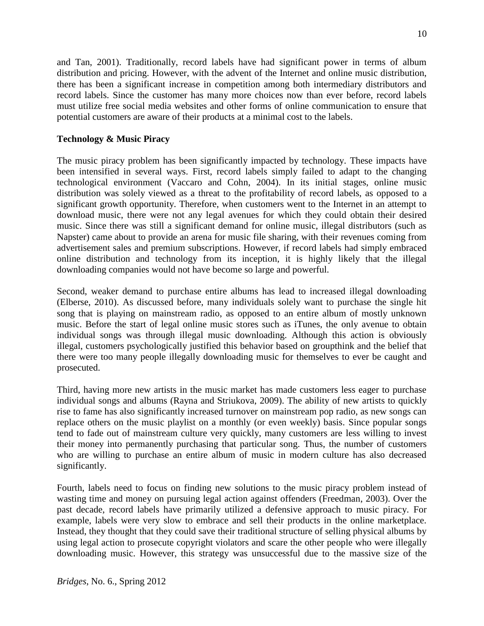and Tan, 2001). Traditionally, record labels have had significant power in terms of album distribution and pricing. However, with the advent of the Internet and online music distribution, there has been a significant increase in competition among both intermediary distributors and record labels. Since the customer has many more choices now than ever before, record labels must utilize free social media websites and other forms of online communication to ensure that potential customers are aware of their products at a minimal cost to the labels.

## **Technology & Music Piracy**

The music piracy problem has been significantly impacted by technology. These impacts have been intensified in several ways. First, record labels simply failed to adapt to the changing technological environment (Vaccaro and Cohn, 2004). In its initial stages, online music distribution was solely viewed as a threat to the profitability of record labels, as opposed to a significant growth opportunity. Therefore, when customers went to the Internet in an attempt to download music, there were not any legal avenues for which they could obtain their desired music. Since there was still a significant demand for online music, illegal distributors (such as Napster) came about to provide an arena for music file sharing, with their revenues coming from advertisement sales and premium subscriptions. However, if record labels had simply embraced online distribution and technology from its inception, it is highly likely that the illegal downloading companies would not have become so large and powerful.

Second, weaker demand to purchase entire albums has lead to increased illegal downloading (Elberse, 2010). As discussed before, many individuals solely want to purchase the single hit song that is playing on mainstream radio, as opposed to an entire album of mostly unknown music. Before the start of legal online music stores such as iTunes, the only avenue to obtain individual songs was through illegal music downloading. Although this action is obviously illegal, customers psychologically justified this behavior based on groupthink and the belief that there were too many people illegally downloading music for themselves to ever be caught and prosecuted.

Third, having more new artists in the music market has made customers less eager to purchase individual songs and albums (Rayna and Striukova, 2009). The ability of new artists to quickly rise to fame has also significantly increased turnover on mainstream pop radio, as new songs can replace others on the music playlist on a monthly (or even weekly) basis. Since popular songs tend to fade out of mainstream culture very quickly, many customers are less willing to invest their money into permanently purchasing that particular song. Thus, the number of customers who are willing to purchase an entire album of music in modern culture has also decreased significantly.

Fourth, labels need to focus on finding new solutions to the music piracy problem instead of wasting time and money on pursuing legal action against offenders (Freedman, 2003). Over the past decade, record labels have primarily utilized a defensive approach to music piracy. For example, labels were very slow to embrace and sell their products in the online marketplace. Instead, they thought that they could save their traditional structure of selling physical albums by using legal action to prosecute copyright violators and scare the other people who were illegally downloading music. However, this strategy was unsuccessful due to the massive size of the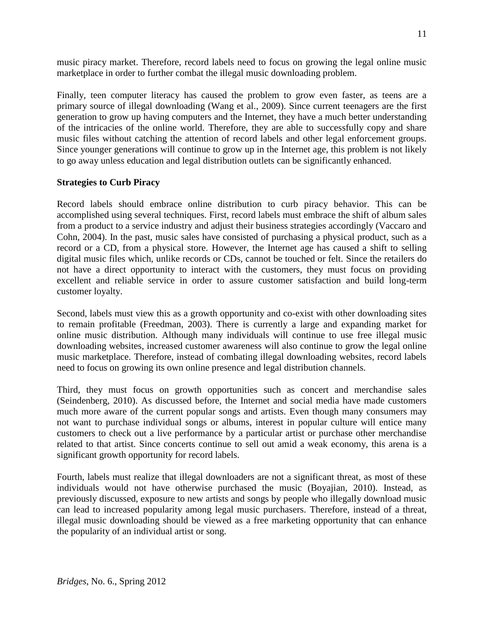music piracy market. Therefore, record labels need to focus on growing the legal online music marketplace in order to further combat the illegal music downloading problem.

Finally, teen computer literacy has caused the problem to grow even faster, as teens are a primary source of illegal downloading (Wang et al., 2009). Since current teenagers are the first generation to grow up having computers and the Internet, they have a much better understanding of the intricacies of the online world. Therefore, they are able to successfully copy and share music files without catching the attention of record labels and other legal enforcement groups. Since younger generations will continue to grow up in the Internet age, this problem is not likely to go away unless education and legal distribution outlets can be significantly enhanced.

#### **Strategies to Curb Piracy**

Record labels should embrace online distribution to curb piracy behavior. This can be accomplished using several techniques. First, record labels must embrace the shift of album sales from a product to a service industry and adjust their business strategies accordingly (Vaccaro and Cohn, 2004). In the past, music sales have consisted of purchasing a physical product, such as a record or a CD, from a physical store. However, the Internet age has caused a shift to selling digital music files which, unlike records or CDs, cannot be touched or felt. Since the retailers do not have a direct opportunity to interact with the customers, they must focus on providing excellent and reliable service in order to assure customer satisfaction and build long-term customer loyalty.

Second, labels must view this as a growth opportunity and co-exist with other downloading sites to remain profitable (Freedman, 2003). There is currently a large and expanding market for online music distribution. Although many individuals will continue to use free illegal music downloading websites, increased customer awareness will also continue to grow the legal online music marketplace. Therefore, instead of combating illegal downloading websites, record labels need to focus on growing its own online presence and legal distribution channels.

Third, they must focus on growth opportunities such as concert and merchandise sales (Seindenberg, 2010). As discussed before, the Internet and social media have made customers much more aware of the current popular songs and artists. Even though many consumers may not want to purchase individual songs or albums, interest in popular culture will entice many customers to check out a live performance by a particular artist or purchase other merchandise related to that artist. Since concerts continue to sell out amid a weak economy, this arena is a significant growth opportunity for record labels.

Fourth, labels must realize that illegal downloaders are not a significant threat, as most of these individuals would not have otherwise purchased the music (Boyajian, 2010). Instead, as previously discussed, exposure to new artists and songs by people who illegally download music can lead to increased popularity among legal music purchasers. Therefore, instead of a threat, illegal music downloading should be viewed as a free marketing opportunity that can enhance the popularity of an individual artist or song.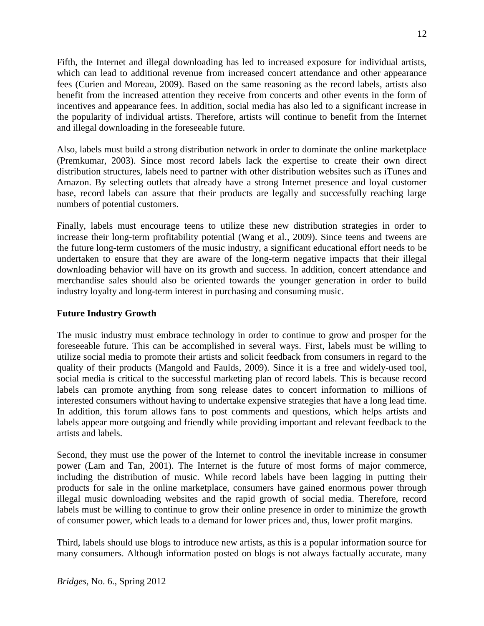Fifth, the Internet and illegal downloading has led to increased exposure for individual artists, which can lead to additional revenue from increased concert attendance and other appearance fees (Curien and Moreau, 2009). Based on the same reasoning as the record labels, artists also benefit from the increased attention they receive from concerts and other events in the form of incentives and appearance fees. In addition, social media has also led to a significant increase in the popularity of individual artists. Therefore, artists will continue to benefit from the Internet and illegal downloading in the foreseeable future.

Also, labels must build a strong distribution network in order to dominate the online marketplace (Premkumar, 2003). Since most record labels lack the expertise to create their own direct distribution structures, labels need to partner with other distribution websites such as iTunes and Amazon. By selecting outlets that already have a strong Internet presence and loyal customer base, record labels can assure that their products are legally and successfully reaching large numbers of potential customers.

Finally, labels must encourage teens to utilize these new distribution strategies in order to increase their long-term profitability potential (Wang et al., 2009). Since teens and tweens are the future long-term customers of the music industry, a significant educational effort needs to be undertaken to ensure that they are aware of the long-term negative impacts that their illegal downloading behavior will have on its growth and success. In addition, concert attendance and merchandise sales should also be oriented towards the younger generation in order to build industry loyalty and long-term interest in purchasing and consuming music.

#### **Future Industry Growth**

The music industry must embrace technology in order to continue to grow and prosper for the foreseeable future. This can be accomplished in several ways. First, labels must be willing to utilize social media to promote their artists and solicit feedback from consumers in regard to the quality of their products (Mangold and Faulds, 2009). Since it is a free and widely-used tool, social media is critical to the successful marketing plan of record labels. This is because record labels can promote anything from song release dates to concert information to millions of interested consumers without having to undertake expensive strategies that have a long lead time. In addition, this forum allows fans to post comments and questions, which helps artists and labels appear more outgoing and friendly while providing important and relevant feedback to the artists and labels.

Second, they must use the power of the Internet to control the inevitable increase in consumer power (Lam and Tan, 2001). The Internet is the future of most forms of major commerce, including the distribution of music. While record labels have been lagging in putting their products for sale in the online marketplace, consumers have gained enormous power through illegal music downloading websites and the rapid growth of social media. Therefore, record labels must be willing to continue to grow their online presence in order to minimize the growth of consumer power, which leads to a demand for lower prices and, thus, lower profit margins.

Third, labels should use blogs to introduce new artists, as this is a popular information source for many consumers. Although information posted on blogs is not always factually accurate, many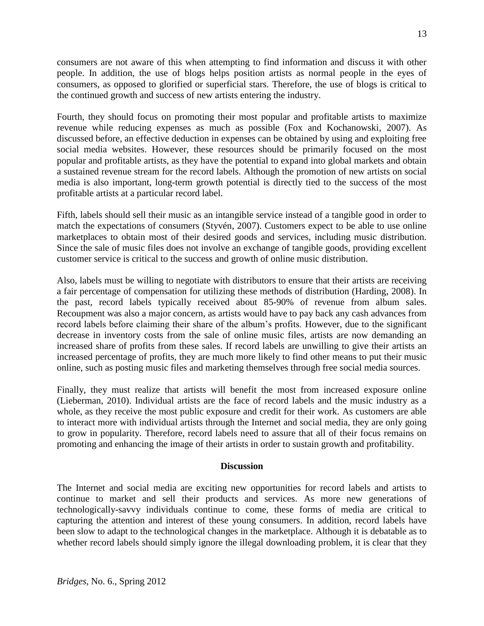consumers are not aware of this when attempting to find information and discuss it with other people. In addition, the use of blogs helps position artists as normal people in the eyes of consumers, as opposed to glorified or superficial stars. Therefore, the use of blogs is critical to the continued growth and success of new artists entering the industry.

Fourth, they should focus on promoting their most popular and profitable artists to maximize revenue while reducing expenses as much as possible (Fox and Kochanowski, 2007). As discussed before, an effective deduction in expenses can be obtained by using and exploiting free social media websites. However, these resources should be primarily focused on the most popular and profitable artists, as they have the potential to expand into global markets and obtain a sustained revenue stream for the record labels. Although the promotion of new artists on social media is also important, long-term growth potential is directly tied to the success of the most profitable artists at a particular record label.

Fifth, labels should sell their music as an intangible service instead of a tangible good in order to match the expectations of consumers (Styvén, 2007). Customers expect to be able to use online marketplaces to obtain most of their desired goods and services, including music distribution. Since the sale of music files does not involve an exchange of tangible goods, providing excellent customer service is critical to the success and growth of online music distribution.

Also, labels must be willing to negotiate with distributors to ensure that their artists are receiving a fair percentage of compensation for utilizing these methods of distribution (Harding, 2008). In the past, record labels typically received about 85-90% of revenue from album sales. Recoupment was also a major concern, as artists would have to pay back any cash advances from record labels before claiming their share of the album's profits. However, due to the significant decrease in inventory costs from the sale of online music files, artists are now demanding an increased share of profits from these sales. If record labels are unwilling to give their artists an increased percentage of profits, they are much more likely to find other means to put their music online, such as posting music files and marketing themselves through free social media sources.

Finally, they must realize that artists will benefit the most from increased exposure online (Lieberman, 2010). Individual artists are the face of record labels and the music industry as a whole, as they receive the most public exposure and credit for their work. As customers are able to interact more with individual artists through the Internet and social media, they are only going to grow in popularity. Therefore, record labels need to assure that all of their focus remains on promoting and enhancing the image of their artists in order to sustain growth and profitability.

#### **Discussion**

The Internet and social media are exciting new opportunities for record labels and artists to continue to market and sell their products and services. As more new generations of technologically-savvy individuals continue to come, these forms of media are critical to capturing the attention and interest of these young consumers. In addition, record labels have been slow to adapt to the technological changes in the marketplace. Although it is debatable as to whether record labels should simply ignore the illegal downloading problem, it is clear that they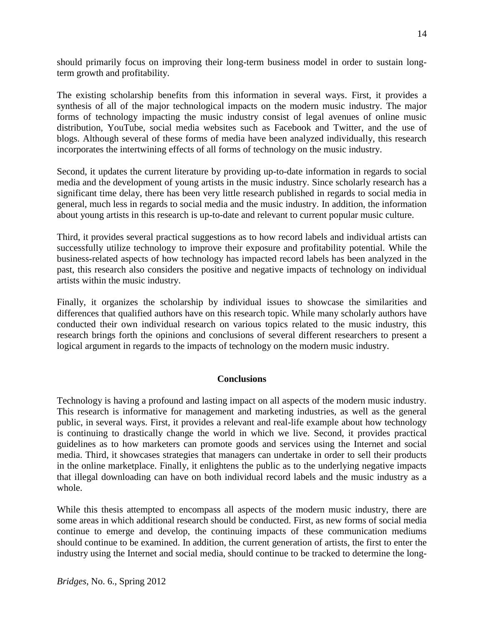should primarily focus on improving their long-term business model in order to sustain longterm growth and profitability.

The existing scholarship benefits from this information in several ways. First, it provides a synthesis of all of the major technological impacts on the modern music industry. The major forms of technology impacting the music industry consist of legal avenues of online music distribution, YouTube, social media websites such as Facebook and Twitter, and the use of blogs. Although several of these forms of media have been analyzed individually, this research incorporates the intertwining effects of all forms of technology on the music industry.

Second, it updates the current literature by providing up-to-date information in regards to social media and the development of young artists in the music industry. Since scholarly research has a significant time delay, there has been very little research published in regards to social media in general, much less in regards to social media and the music industry. In addition, the information about young artists in this research is up-to-date and relevant to current popular music culture.

Third, it provides several practical suggestions as to how record labels and individual artists can successfully utilize technology to improve their exposure and profitability potential. While the business-related aspects of how technology has impacted record labels has been analyzed in the past, this research also considers the positive and negative impacts of technology on individual artists within the music industry.

Finally, it organizes the scholarship by individual issues to showcase the similarities and differences that qualified authors have on this research topic. While many scholarly authors have conducted their own individual research on various topics related to the music industry, this research brings forth the opinions and conclusions of several different researchers to present a logical argument in regards to the impacts of technology on the modern music industry.

## **Conclusions**

Technology is having a profound and lasting impact on all aspects of the modern music industry. This research is informative for management and marketing industries, as well as the general public, in several ways. First, it provides a relevant and real-life example about how technology is continuing to drastically change the world in which we live. Second, it provides practical guidelines as to how marketers can promote goods and services using the Internet and social media. Third, it showcases strategies that managers can undertake in order to sell their products in the online marketplace. Finally, it enlightens the public as to the underlying negative impacts that illegal downloading can have on both individual record labels and the music industry as a whole.

While this thesis attempted to encompass all aspects of the modern music industry, there are some areas in which additional research should be conducted. First, as new forms of social media continue to emerge and develop, the continuing impacts of these communication mediums should continue to be examined. In addition, the current generation of artists, the first to enter the industry using the Internet and social media, should continue to be tracked to determine the long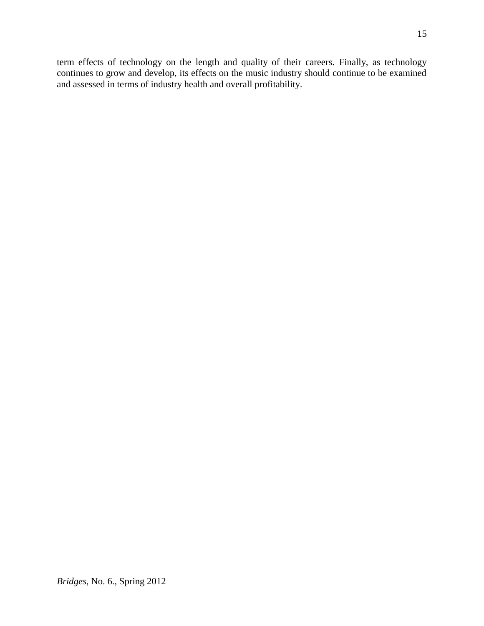term effects of technology on the length and quality of their careers. Finally, as technology continues to grow and develop, its effects on the music industry should continue to be examined and assessed in terms of industry health and overall profitability.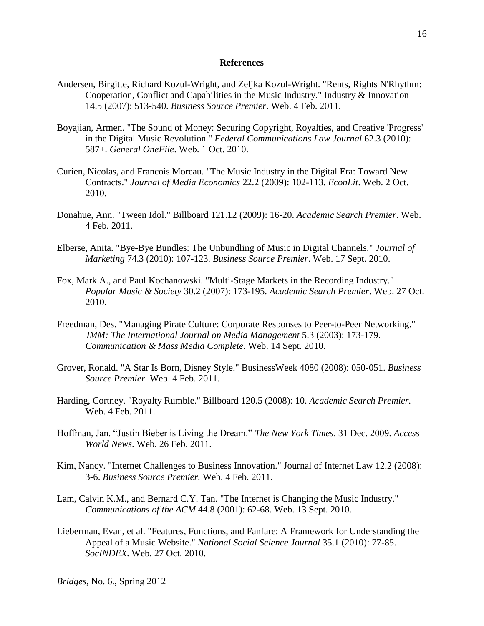#### **References**

- Andersen, Birgitte, Richard Kozul-Wright, and Zeljka Kozul-Wright. "Rents, Rights N'Rhythm: Cooperation, Conflict and Capabilities in the Music Industry." Industry & Innovation 14.5 (2007): 513-540. *Business Source Premier*. Web. 4 Feb. 2011.
- Boyajian, Armen. "The Sound of Money: Securing Copyright, Royalties, and Creative 'Progress' in the Digital Music Revolution." *Federal Communications Law Journal* 62.3 (2010): 587+. *General OneFile*. Web. 1 Oct. 2010.
- Curien, Nicolas, and Francois Moreau. "The Music Industry in the Digital Era: Toward New Contracts." *Journal of Media Economics* 22.2 (2009): 102-113. *EconLit*. Web. 2 Oct. 2010.
- Donahue, Ann. "Tween Idol." Billboard 121.12 (2009): 16-20. *Academic Search Premier*. Web. 4 Feb. 2011.
- Elberse, Anita. "Bye-Bye Bundles: The Unbundling of Music in Digital Channels." *Journal of Marketing* 74.3 (2010): 107-123. *Business Source Premier*. Web. 17 Sept. 2010.
- Fox, Mark A., and Paul Kochanowski. "Multi-Stage Markets in the Recording Industry." *Popular Music & Society* 30.2 (2007): 173-195. *Academic Search Premier*. Web. 27 Oct. 2010.
- Freedman, Des. "Managing Pirate Culture: Corporate Responses to Peer-to-Peer Networking." *JMM: The International Journal on Media Management* 5.3 (2003): 173-179. *Communication & Mass Media Complete*. Web. 14 Sept. 2010.
- Grover, Ronald. "A Star Is Born, Disney Style." BusinessWeek 4080 (2008): 050-051. *Business Source Premier.* Web. 4 Feb. 2011.
- Harding, Cortney. "Royalty Rumble." Billboard 120.5 (2008): 10. *Academic Search Premier.* Web. 4 Feb. 2011.
- Hoffman, Jan. "Justin Bieber is Living the Dream." *The New York Times*. 31 Dec. 2009. *Access World News*. Web. 26 Feb. 2011.
- Kim, Nancy. "Internet Challenges to Business Innovation." Journal of Internet Law 12.2 (2008): 3-6. *Business Source Premier.* Web. 4 Feb. 2011.
- Lam, Calvin K.M., and Bernard C.Y. Tan. "The Internet is Changing the Music Industry." *Communications of the ACM* 44.8 (2001): 62-68. Web. 13 Sept. 2010.
- Lieberman, Evan, et al. "Features, Functions, and Fanfare: A Framework for Understanding the Appeal of a Music Website." *National Social Science Journal* 35.1 (2010): 77-85. *SocINDEX*. Web. 27 Oct. 2010.

*Bridges*, No. 6., Spring 2012